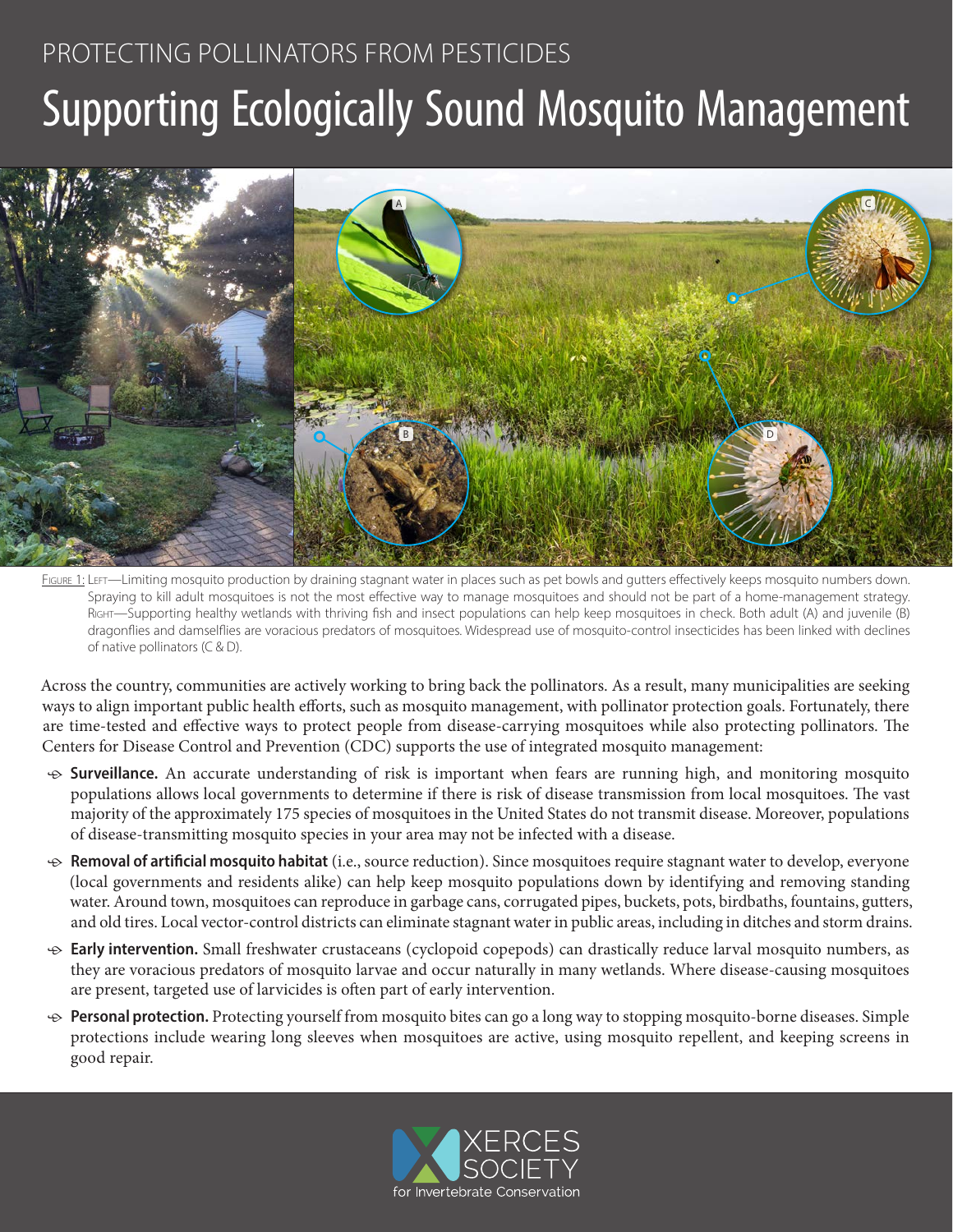## PROTECTING POLLINATORS FROM PESTICIDES Supporting Ecologically Sound Mosquito Management



FIGURE 1: LEFT—Limiting mosquito production by draining stagnant water in places such as pet bowls and gutters effectively keeps mosquito numbers down. Spraying to kill adult mosquitoes is not the most effective way to manage mosquitoes and should not be part of a home-management strategy. RIGHT—Supporting healthy wetlands with thriving fish and insect populations can help keep mosquitoes in check. Both adult (A) and juvenile (B) dragonflies and damselflies are voracious predators of mosquitoes. Widespread use of mosquito-control insecticides has been linked with declines of native pollinators (C & D).

Across the country, communities are actively working to bring back the pollinators. As a result, many municipalities are seeking ways to align important public health efforts, such as mosquito management, with pollinator protection goals. Fortunately, there are time-tested and effective ways to protect people from disease-carrying mosquitoes while also protecting pollinators. The Centers for Disease Control and Prevention (CDC) supports the use of integrated mosquito management:

- ӧ **Surveillance.** An accurate understanding of risk is important when fears are running high, and monitoring mosquito populations allows local governments to determine if there is risk of disease transmission from local mosquitoes. The vast majority of the approximately 175 species of mosquitoes in the United States do not transmit disease. Moreover, populations of disease-transmitting mosquito species in your area may not be infected with a disease.
- **<del>
Removal of artificial mosquito habitat</del>** (i.e., source reduction). Since mosquitoes require stagnant water to develop, everyone (local governments and residents alike) can help keep mosquito populations down by identifying and removing standing water. Around town, mosquitoes can reproduce in garbage cans, corrugated pipes, buckets, pots, birdbaths, fountains, gutters, and old tires. Local vector-control districts can eliminate stagnant water in public areas, including in ditches and storm drains.
- ⊕ Early intervention. Small freshwater crustaceans (cyclopoid copepods) can drastically reduce larval mosquito numbers, as they are voracious predators of mosquito larvae and occur naturally in many wetlands. Where disease-causing mosquitoes are present, targeted use of larvicides is often part of early intervention.
- ⊕ **Personal protection.** Protecting yourself from mosquito bites can go a long way to stopping mosquito-borne diseases. Simple protections include wearing long sleeves when mosquitoes are active, using mosquito repellent, and keeping screens in good repair.